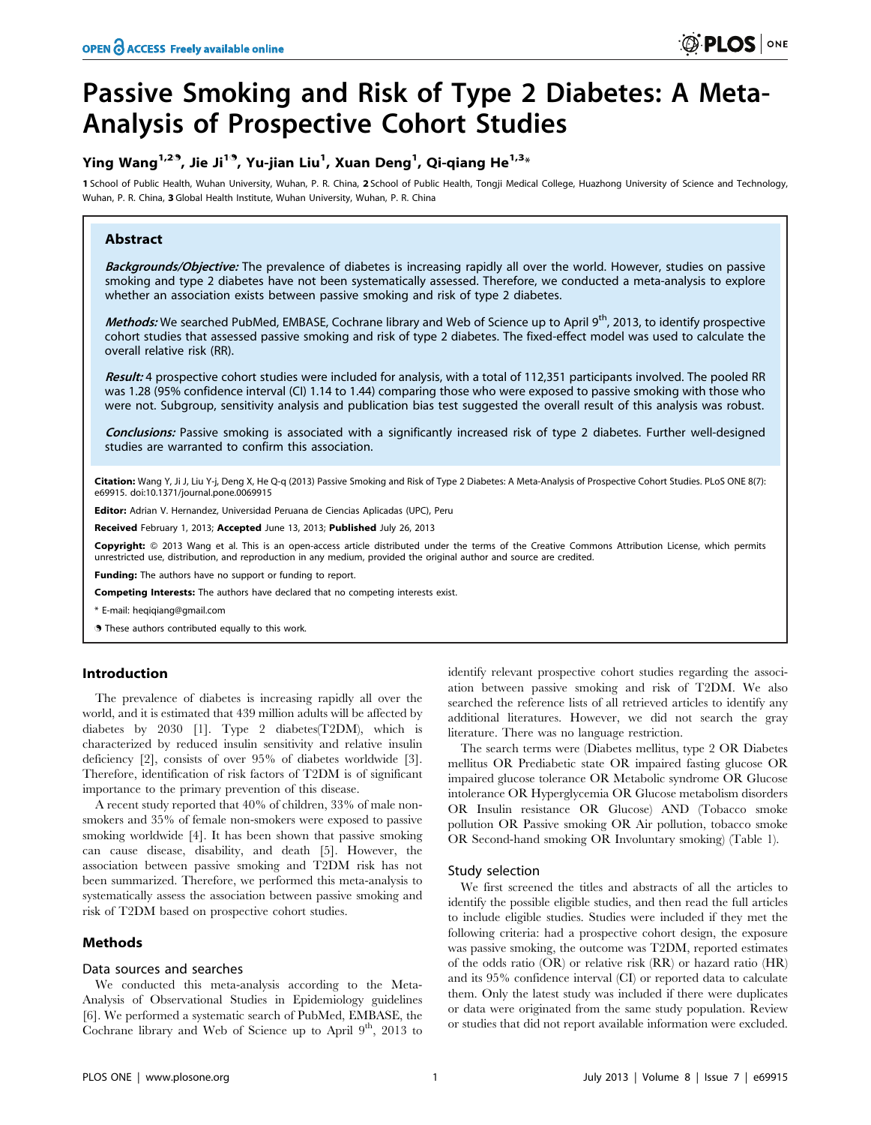# Passive Smoking and Risk of Type 2 Diabetes: A Meta-Analysis of Prospective Cohort Studies

## Ying Wang $^{1,2,9}$ , Jie Ji $^{1,9}$ , Yu-jian Liu $^1$ , Xuan Deng $^1$ , Qi-qiang He $^{1,3_\times}$

1 School of Public Health, Wuhan University, Wuhan, P. R. China, 2 School of Public Health, Tongii Medical College, Huazhong University of Science and Technology, Wuhan, P. R. China, 3 Global Health Institute, Wuhan University, Wuhan, P. R. China

## Abstract

Backgrounds/Objective: The prevalence of diabetes is increasing rapidly all over the world. However, studies on passive smoking and type 2 diabetes have not been systematically assessed. Therefore, we conducted a meta-analysis to explore whether an association exists between passive smoking and risk of type 2 diabetes.

Methods: We searched PubMed, EMBASE, Cochrane library and Web of Science up to April 9<sup>th</sup>, 2013, to identify prospective cohort studies that assessed passive smoking and risk of type 2 diabetes. The fixed-effect model was used to calculate the overall relative risk (RR).

Result: 4 prospective cohort studies were included for analysis, with a total of 112,351 participants involved. The pooled RR was 1.28 (95% confidence interval (CI) 1.14 to 1.44) comparing those who were exposed to passive smoking with those who were not. Subgroup, sensitivity analysis and publication bias test suggested the overall result of this analysis was robust.

Conclusions: Passive smoking is associated with a significantly increased risk of type 2 diabetes. Further well-designed studies are warranted to confirm this association.

Citation: Wang Y, Ji J, Liu Y-j, Deng X, He Q-q (2013) Passive Smoking and Risk of Type 2 Diabetes: A Meta-Analysis of Prospective Cohort Studies. PLoS ONE 8(7): e69915. doi:10.1371/journal.pone.0069915

Editor: Adrian V. Hernandez, Universidad Peruana de Ciencias Aplicadas (UPC), Peru

Received February 1, 2013; Accepted June 13, 2013; Published July 26, 2013

Copyright: © 2013 Wang et al. This is an open-access article distributed under the terms of the Creative Commons Attribution License, which permits unrestricted use, distribution, and reproduction in any medium, provided the original author and source are credited.

**Funding:** The authors have no support or funding to report.

Competing Interests: The authors have declared that no competing interests exist.

\* E-mail: heqiqiang@gmail.com

. These authors contributed equally to this work.

## Introduction

The prevalence of diabetes is increasing rapidly all over the world, and it is estimated that 439 million adults will be affected by diabetes by 2030 [1]. Type 2 diabetes(T2DM), which is characterized by reduced insulin sensitivity and relative insulin deficiency [2], consists of over 95% of diabetes worldwide [3]. Therefore, identification of risk factors of T2DM is of significant importance to the primary prevention of this disease.

A recent study reported that 40% of children, 33% of male nonsmokers and 35% of female non-smokers were exposed to passive smoking worldwide [4]. It has been shown that passive smoking can cause disease, disability, and death [5]. However, the association between passive smoking and T2DM risk has not been summarized. Therefore, we performed this meta-analysis to systematically assess the association between passive smoking and risk of T2DM based on prospective cohort studies.

## Methods

## Data sources and searches

We conducted this meta-analysis according to the Meta-Analysis of Observational Studies in Epidemiology guidelines [6]. We performed a systematic search of PubMed, EMBASE, the Cochrane library and Web of Science up to April 9<sup>th</sup>, 2013 to identify relevant prospective cohort studies regarding the association between passive smoking and risk of T2DM. We also searched the reference lists of all retrieved articles to identify any additional literatures. However, we did not search the gray literature. There was no language restriction.

The search terms were (Diabetes mellitus, type 2 OR Diabetes mellitus OR Prediabetic state OR impaired fasting glucose OR impaired glucose tolerance OR Metabolic syndrome OR Glucose intolerance OR Hyperglycemia OR Glucose metabolism disorders OR Insulin resistance OR Glucose) AND (Tobacco smoke pollution OR Passive smoking OR Air pollution, tobacco smoke OR Second-hand smoking OR Involuntary smoking) (Table 1).

## Study selection

We first screened the titles and abstracts of all the articles to identify the possible eligible studies, and then read the full articles to include eligible studies. Studies were included if they met the following criteria: had a prospective cohort design, the exposure was passive smoking, the outcome was T2DM, reported estimates of the odds ratio (OR) or relative risk (RR) or hazard ratio (HR) and its 95% confidence interval (CI) or reported data to calculate them. Only the latest study was included if there were duplicates or data were originated from the same study population. Review or studies that did not report available information were excluded.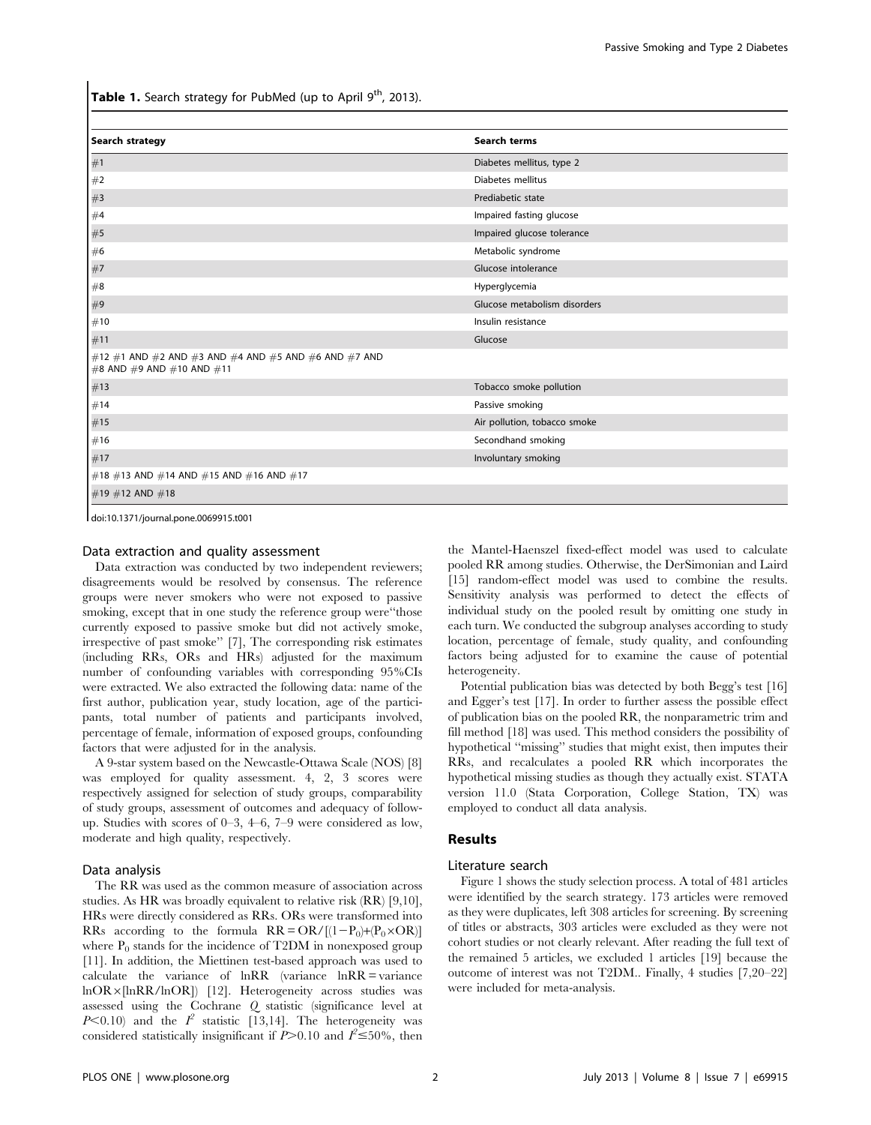**Table 1.** Search strategy for PubMed (up to April  $9<sup>th</sup>$ , 2013).

| Search terms                 |
|------------------------------|
| Diabetes mellitus, type 2    |
| Diabetes mellitus            |
| Prediabetic state            |
| Impaired fasting glucose     |
| Impaired glucose tolerance   |
| Metabolic syndrome           |
| Glucose intolerance          |
| Hyperglycemia                |
| Glucose metabolism disorders |
| Insulin resistance           |
| Glucose                      |
|                              |
| Tobacco smoke pollution      |
| Passive smoking              |
| Air pollution, tobacco smoke |
| Secondhand smoking           |
| Involuntary smoking          |
|                              |
|                              |
|                              |

doi:10.1371/journal.pone.0069915.t001

#### Data extraction and quality assessment

Data extraction was conducted by two independent reviewers; disagreements would be resolved by consensus. The reference groups were never smokers who were not exposed to passive smoking, except that in one study the reference group were''those currently exposed to passive smoke but did not actively smoke, irrespective of past smoke'' [7], The corresponding risk estimates (including RRs, ORs and HRs) adjusted for the maximum number of confounding variables with corresponding 95%CIs were extracted. We also extracted the following data: name of the first author, publication year, study location, age of the participants, total number of patients and participants involved, percentage of female, information of exposed groups, confounding factors that were adjusted for in the analysis.

A 9-star system based on the Newcastle-Ottawa Scale (NOS) [8] was employed for quality assessment. 4, 2, 3 scores were respectively assigned for selection of study groups, comparability of study groups, assessment of outcomes and adequacy of followup. Studies with scores of 0–3, 4–6, 7–9 were considered as low, moderate and high quality, respectively.

## Data analysis

The RR was used as the common measure of association across studies. As HR was broadly equivalent to relative risk (RR) [9,10], HRs were directly considered as RRs. ORs were transformed into RRs according to the formula  $RR = OR/[ (1-P_0)+(P_0 \times OR)]$ where  $\mathrm{P}_0$  stands for the incidence of T2DM in nonexposed group [11]. In addition, the Miettinen test-based approach was used to calculate the variance of lnRR (variance lnRR = variance lnOR6[lnRR/lnOR]) [12]. Heterogeneity across studies was assessed using the Cochrane Q statistic (significance level at  $P<0.10$ ) and the  $I^2$  statistic [13,14]. The heterogeneity was considered statistically insignificant if  $\ddot{P} > 0.10$  and  $\ddot{I} \le 50\%$ , then

the Mantel-Haenszel fixed-effect model was used to calculate pooled RR among studies. Otherwise, the DerSimonian and Laird [15] random-effect model was used to combine the results. Sensitivity analysis was performed to detect the effects of individual study on the pooled result by omitting one study in each turn. We conducted the subgroup analyses according to study location, percentage of female, study quality, and confounding factors being adjusted for to examine the cause of potential heterogeneity.

Potential publication bias was detected by both Begg's test [16] and Egger's test [17]. In order to further assess the possible effect of publication bias on the pooled RR, the nonparametric trim and fill method [18] was used. This method considers the possibility of hypothetical ''missing'' studies that might exist, then imputes their RRs, and recalculates a pooled RR which incorporates the hypothetical missing studies as though they actually exist. STATA version 11.0 (Stata Corporation, College Station, TX) was employed to conduct all data analysis.

## Results

#### Literature search

Figure 1 shows the study selection process. A total of 481 articles were identified by the search strategy. 173 articles were removed as they were duplicates, left 308 articles for screening. By screening of titles or abstracts, 303 articles were excluded as they were not cohort studies or not clearly relevant. After reading the full text of the remained 5 articles, we excluded 1 articles [19] because the outcome of interest was not T2DM.. Finally, 4 studies [7,20–22] were included for meta-analysis.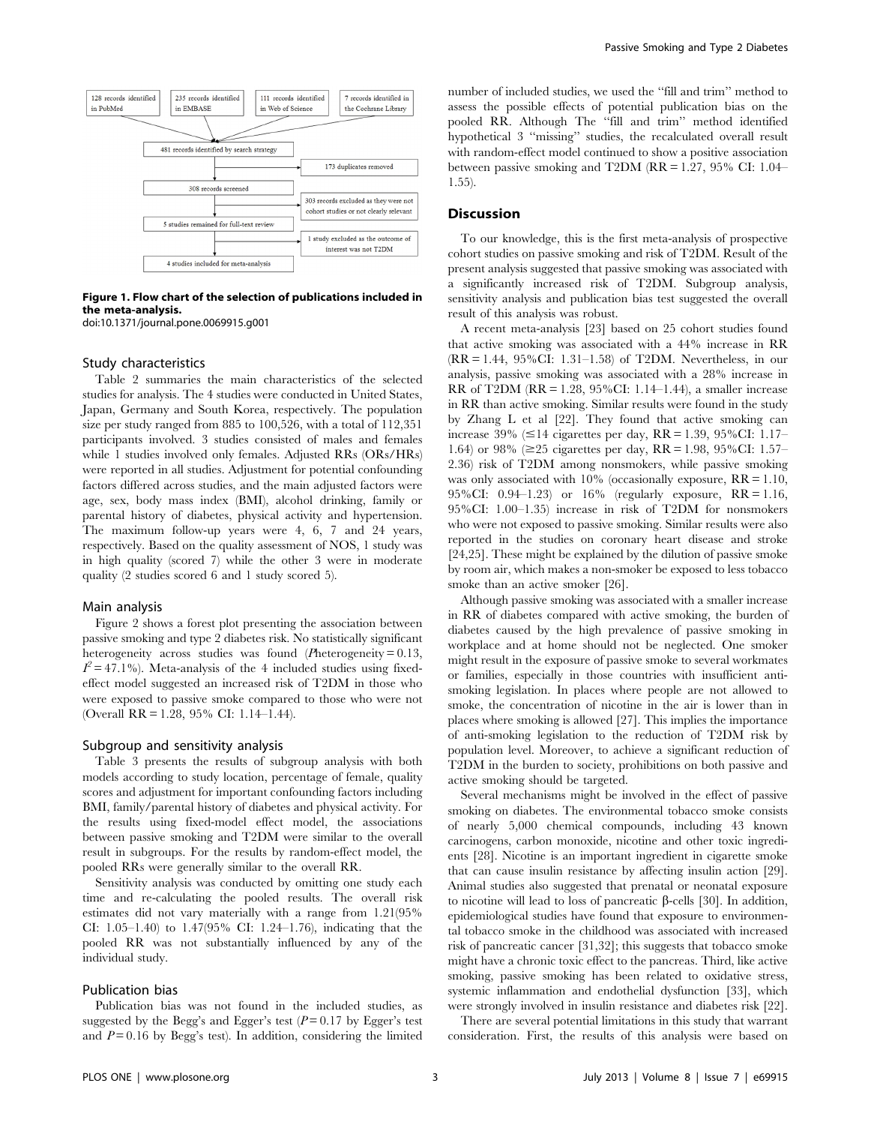

Figure 1. Flow chart of the selection of publications included in the meta-analysis.

doi:10.1371/journal.pone.0069915.g001

## Study characteristics

Table 2 summaries the main characteristics of the selected studies for analysis. The 4 studies were conducted in United States, Japan, Germany and South Korea, respectively. The population size per study ranged from 885 to 100,526, with a total of 112,351 participants involved. 3 studies consisted of males and females while 1 studies involved only females. Adjusted RRs (ORs/HRs) were reported in all studies. Adjustment for potential confounding factors differed across studies, and the main adjusted factors were age, sex, body mass index (BMI), alcohol drinking, family or parental history of diabetes, physical activity and hypertension. The maximum follow-up years were 4, 6, 7 and 24 years, respectively. Based on the quality assessment of NOS, 1 study was in high quality (scored 7) while the other 3 were in moderate quality (2 studies scored 6 and 1 study scored 5).

#### Main analysis

Figure 2 shows a forest plot presenting the association between passive smoking and type 2 diabetes risk. No statistically significant heterogeneity across studies was found (Pheterogeneity = 0.13,  $I^2 = 47.1\%$ ). Meta-analysis of the 4 included studies using fixedeffect model suggested an increased risk of T2DM in those who were exposed to passive smoke compared to those who were not (Overall RR = 1.28, 95% CI: 1.14–1.44).

## Subgroup and sensitivity analysis

Table 3 presents the results of subgroup analysis with both models according to study location, percentage of female, quality scores and adjustment for important confounding factors including BMI, family/parental history of diabetes and physical activity. For the results using fixed-model effect model, the associations between passive smoking and T2DM were similar to the overall result in subgroups. For the results by random-effect model, the pooled RRs were generally similar to the overall RR.

Sensitivity analysis was conducted by omitting one study each time and re-calculating the pooled results. The overall risk estimates did not vary materially with a range from 1.21(95% CI: 1.05–1.40) to 1.47(95% CI: 1.24–1.76), indicating that the pooled RR was not substantially influenced by any of the individual study.

#### Publication bias

Publication bias was not found in the included studies, as suggested by the Begg's and Egger's test  $(P=0.17)$  by Egger's test and  $P = 0.16$  by Begg's test). In addition, considering the limited number of included studies, we used the ''fill and trim'' method to assess the possible effects of potential publication bias on the pooled RR. Although The ''fill and trim'' method identified hypothetical 3 ''missing'' studies, the recalculated overall result with random-effect model continued to show a positive association between passive smoking and T2DM (RR = 1.27, 95% CI: 1.04– 1.55).

#### **Discussion**

To our knowledge, this is the first meta-analysis of prospective cohort studies on passive smoking and risk of T2DM. Result of the present analysis suggested that passive smoking was associated with a significantly increased risk of T2DM. Subgroup analysis, sensitivity analysis and publication bias test suggested the overall result of this analysis was robust.

A recent meta-analysis [23] based on 25 cohort studies found that active smoking was associated with a 44% increase in RR (RR = 1.44, 95%CI: 1.31–1.58) of T2DM. Nevertheless, in our analysis, passive smoking was associated with a 28% increase in RR of T2DM (RR = 1.28, 95%CI: 1.14–1.44), a smaller increase in RR than active smoking. Similar results were found in the study by Zhang L et al [22]. They found that active smoking can increase 39% ( $\leq$ 14 cigarettes per day, RR = 1.39, 95%CI: 1.17– 1.64) or 98% ( $\geq$ 25 cigarettes per day, RR = 1.98, 95%CI: 1.57– 2.36) risk of T2DM among nonsmokers, while passive smoking was only associated with  $10\%$  (occasionally exposure,  $RR = 1.10$ , 95%CI: 0.94–1.23) or 16% (regularly exposure, RR = 1.16, 95%CI: 1.00–1.35) increase in risk of T2DM for nonsmokers who were not exposed to passive smoking. Similar results were also reported in the studies on coronary heart disease and stroke [24,25]. These might be explained by the dilution of passive smoke by room air, which makes a non-smoker be exposed to less tobacco smoke than an active smoker [26].

Although passive smoking was associated with a smaller increase in RR of diabetes compared with active smoking, the burden of diabetes caused by the high prevalence of passive smoking in workplace and at home should not be neglected. One smoker might result in the exposure of passive smoke to several workmates or families, especially in those countries with insufficient antismoking legislation. In places where people are not allowed to smoke, the concentration of nicotine in the air is lower than in places where smoking is allowed [27]. This implies the importance of anti-smoking legislation to the reduction of T2DM risk by population level. Moreover, to achieve a significant reduction of T2DM in the burden to society, prohibitions on both passive and active smoking should be targeted.

Several mechanisms might be involved in the effect of passive smoking on diabetes. The environmental tobacco smoke consists of nearly 5,000 chemical compounds, including 43 known carcinogens, carbon monoxide, nicotine and other toxic ingredients [28]. Nicotine is an important ingredient in cigarette smoke that can cause insulin resistance by affecting insulin action [29]. Animal studies also suggested that prenatal or neonatal exposure to nicotine will lead to loss of pancreatic  $\beta$ -cells [30]. In addition, epidemiological studies have found that exposure to environmental tobacco smoke in the childhood was associated with increased risk of pancreatic cancer [31,32]; this suggests that tobacco smoke might have a chronic toxic effect to the pancreas. Third, like active smoking, passive smoking has been related to oxidative stress, systemic inflammation and endothelial dysfunction [33], which were strongly involved in insulin resistance and diabetes risk [22].

There are several potential limitations in this study that warrant consideration. First, the results of this analysis were based on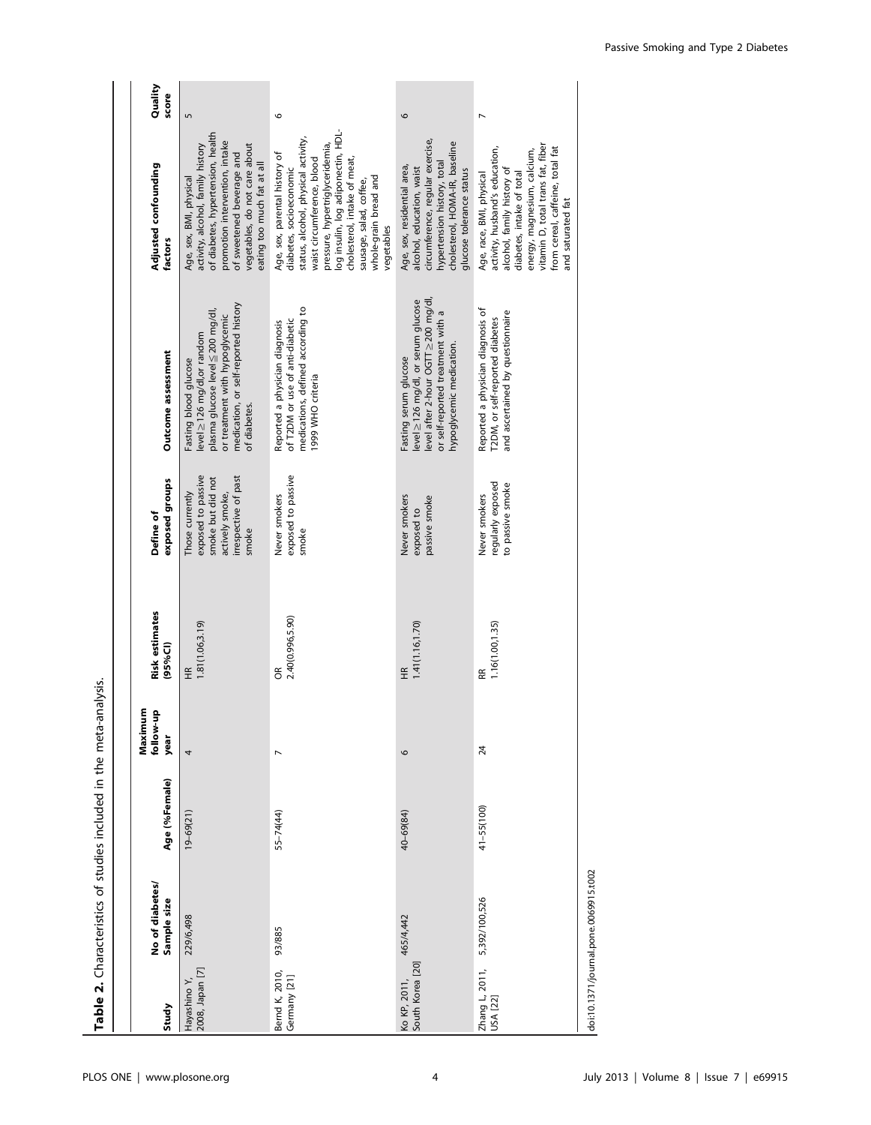| Study                            | No of diabetes<br>Sample size         | Age (%Female)  | Maximum<br>$\Omega$<br>follow-u<br>year | <b>Risk estimates</b><br>(95%Cl) | exposed groups<br>Define of                                                                                    | Outcome assessment                                                                                                                                                                | Adjusted confounding<br>factors                                                                                                                                                                                                                                                                          | Quality<br>score |
|----------------------------------|---------------------------------------|----------------|-----------------------------------------|----------------------------------|----------------------------------------------------------------------------------------------------------------|-----------------------------------------------------------------------------------------------------------------------------------------------------------------------------------|----------------------------------------------------------------------------------------------------------------------------------------------------------------------------------------------------------------------------------------------------------------------------------------------------------|------------------|
| 2008, Japan [7]<br>Hayashino Y,  | 229/6,498                             | $19 - 69(21)$  | 4                                       | 1.81(1.06, 3.19)<br>£            | exposed to passive<br>irrespective of past<br>smoke but did not<br>actively smoke,<br>Those currently<br>smoke | medication, or self-reported history<br>plasma glucose level ≤200 mg/dl,<br>or treatment with hypoglycemic<br>level ≥126 mg/dl,or random<br>Fasting blood glucose<br>of diabetes. | of diabetes, hypertension, health<br>promotion intervention, intake<br>vegetables, do not care about<br>activity, alcohol, family history<br>of sweetened beverage and<br>eating too much fat at all<br>Age, sex, BMI, physical                                                                          | S                |
| Bernd K, 2010,<br>Germany [21]   | 93/885                                | 55-74(44)      | $\overline{ }$                          | 2.40(0.996,5.90)<br>g            | exposed to passive<br>Never smokers<br>smoke                                                                   | medications, defined according to<br>of T2DM or use of anti-diabetic<br>Reported a physician diagnosis<br>1999 WHO criteria                                                       | log insulin, log adiponectin, HDL-<br>status, alcohol, physical activity,<br>pressure, hypertriglyceridemia,<br>Age, sex, parental history of<br>cholesterol, intake of meat,<br>waist circumference, blood<br>diabetes, socioeconomic<br>whole-grain bread and<br>sausage, salad, coffee,<br>vegetables | 9                |
| South Korea [20]<br>Ko KP, 2011, | 465/4,442                             | 40-69(84)      | $\circ$                                 | 1.41(1.16, 1.70)<br>£            | Never smokers<br>passive smoke<br>exposed to                                                                   | evel after 2-hour OGTT ≥ 200 mg/dl,<br>level ≥ 126 mg/dl, or serum glucose<br>or self-reported treatment with a<br>hypoglycemic medication.<br>Fasting serum glucose              | circumference, regular exercise,<br>cholesterol, HOMA-IR, baseline<br>hypertension history, total<br>Age, sex, residential area,<br>alcohol, education, waist<br>glucose tolerance status                                                                                                                | 9                |
| Zhang L, 2011,<br>USA [22]       | 5,392/100,526                         | $41 - 55(100)$ | $\overline{24}$                         | 1.16(1.00,1.35)<br>Æ             | regularly exposed<br>to passive smoke<br>Never smokers                                                         | Reported a physician diagnosis of<br>and ascertained by questionnaire<br>T2DM, or self-reported diabetes                                                                          | vitamin D, total trans fat, fiber<br>from cereal, caffeine, total fat<br>activity, husband's education,<br>energy, magnesium, calcium,<br>alcohol, family history of<br>diabetes, intake of total<br>Age, race, BMI, physical<br>and saturated fat                                                       |                  |
|                                  | doi:10.1371/journal.pone.0069915.t002 |                |                                         |                                  |                                                                                                                |                                                                                                                                                                                   |                                                                                                                                                                                                                                                                                                          |                  |

Table 2. Characteristics of studies included in the meta-analysis. Table 2. Characteristics of studies included in the meta-analysis.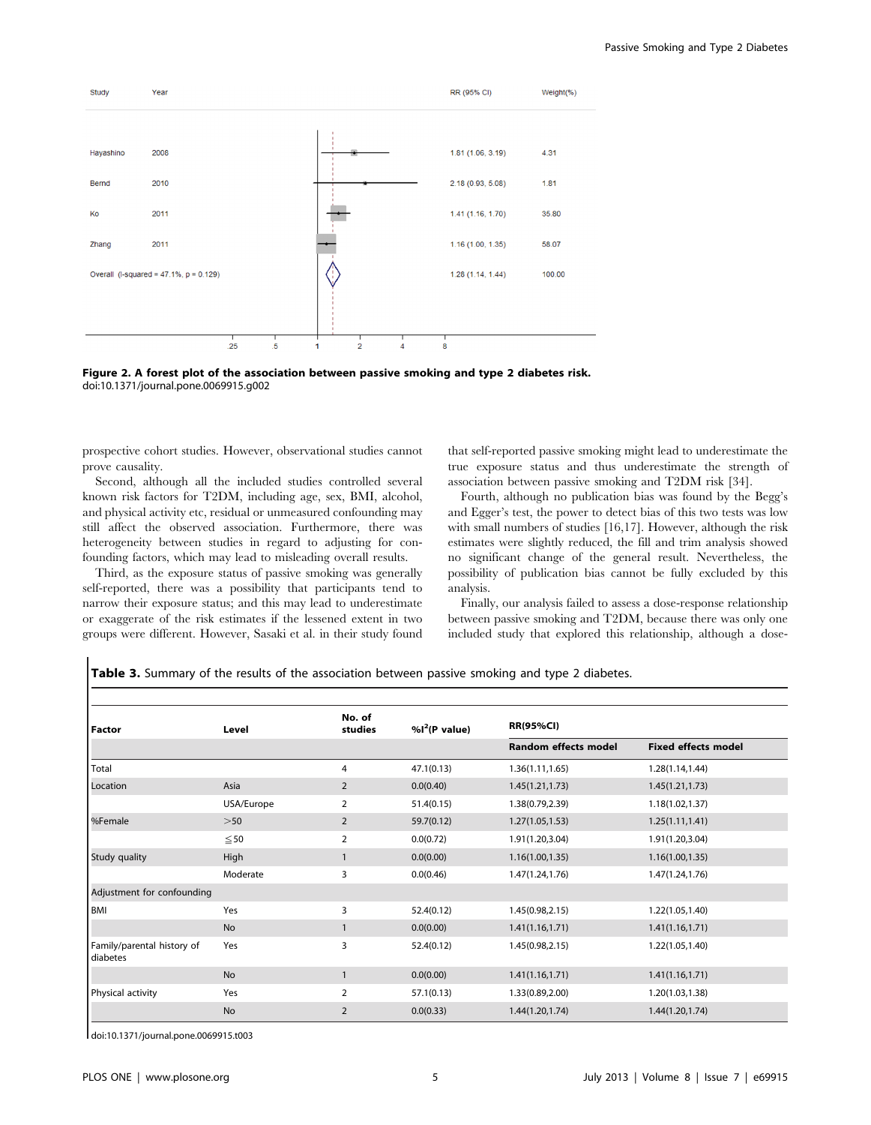



prospective cohort studies. However, observational studies cannot prove causality.

Second, although all the included studies controlled several known risk factors for T2DM, including age, sex, BMI, alcohol, and physical activity etc, residual or unmeasured confounding may still affect the observed association. Furthermore, there was heterogeneity between studies in regard to adjusting for confounding factors, which may lead to misleading overall results.

Third, as the exposure status of passive smoking was generally self-reported, there was a possibility that participants tend to narrow their exposure status; and this may lead to underestimate or exaggerate of the risk estimates if the lessened extent in two groups were different. However, Sasaki et al. in their study found that self-reported passive smoking might lead to underestimate the true exposure status and thus underestimate the strength of association between passive smoking and T2DM risk [34].

Fourth, although no publication bias was found by the Begg's and Egger's test, the power to detect bias of this two tests was low with small numbers of studies [16,17]. However, although the risk estimates were slightly reduced, the fill and trim analysis showed no significant change of the general result. Nevertheless, the possibility of publication bias cannot be fully excluded by this analysis.

Finally, our analysis failed to assess a dose-response relationship between passive smoking and T2DM, because there was only one included study that explored this relationship, although a dose-

Table 3. Summary of the results of the association between passive smoking and type 2 diabetes.

| Factor                                 | Level      | No. of<br>studies | %1 <sup>2</sup> (P value) | <b>RR(95%CI)</b>            |                            |
|----------------------------------------|------------|-------------------|---------------------------|-----------------------------|----------------------------|
|                                        |            |                   |                           | <b>Random effects model</b> | <b>Fixed effects model</b> |
| Total                                  |            | 4                 | 47.1(0.13)                | 1.36(1.11, 1.65)            | 1.28(1.14,1.44)            |
| Location                               | Asia       | $\overline{2}$    | 0.0(0.40)                 | 1.45(1.21, 1.73)            | 1.45(1.21, 1.73)           |
|                                        | USA/Europe | 2                 | 51.4(0.15)                | 1.38(0.79,2.39)             | 1.18(1.02,1.37)            |
| %Female                                | >50        | $\overline{2}$    | 59.7(0.12)                | 1.27(1.05, 1.53)            | 1.25(1.11, 1.41)           |
|                                        | $\leq 50$  | 2                 | 0.0(0.72)                 | 1.91(1.20,3.04)             | 1.91(1.20,3.04)            |
| Study quality                          | High       |                   | 0.0(0.00)                 | 1.16(1.00, 1.35)            | 1.16(1.00, 1.35)           |
|                                        | Moderate   | 3                 | 0.0(0.46)                 | 1.47(1.24, 1.76)            | 1.47(1.24,1.76)            |
| Adjustment for confounding             |            |                   |                           |                             |                            |
| <b>BMI</b>                             | Yes        | 3                 | 52.4(0.12)                | 1.45(0.98, 2.15)            | 1.22(1.05,1.40)            |
|                                        | <b>No</b>  |                   | 0.0(0.00)                 | 1.41(1.16, 1.71)            | 1.41(1.16, 1.71)           |
| Family/parental history of<br>diabetes | Yes        | 3                 | 52.4(0.12)                | 1.45(0.98, 2.15)            | 1.22(1.05,1.40)            |
|                                        | <b>No</b>  |                   | 0.0(0.00)                 | 1.41(1.16, 1.71)            | 1.41(1.16, 1.71)           |
| Physical activity                      | Yes        | 2                 | 57.1(0.13)                | 1.33(0.89,2.00)             | 1.20(1.03,1.38)            |
|                                        | <b>No</b>  | 2                 | 0.0(0.33)                 | 1.44(1.20, 1.74)            | 1.44(1.20,1.74)            |

doi:10.1371/journal.pone.0069915.t003